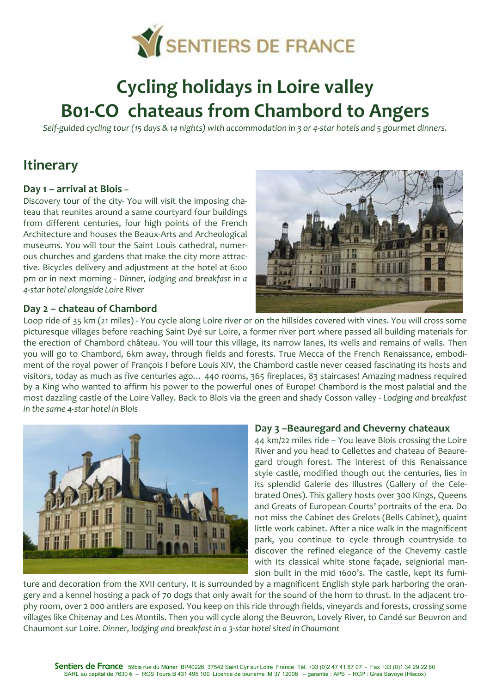

# **Cycling holidays in Loire valley B01-CO chateaus from Chambord to Angers**

*Self-guided cycling tour (15 days & 14 nights) with accommodation in 3 or 4-star hotels and 5 gourmet dinners.*

# **Itinerary**

#### **Day 1 – arrival at Blois –**

Discovery tour of the city- You will visit the imposing chateau that reunites around a same courtyard four buildings from different centuries, four high points of the French Architecture and houses the Beaux-Arts and Archeological museums. You will tour the Saint Louis cathedral, numerous churches and gardens that make the city more attractive. Bicycles delivery and adjustment at the hotel at 6:00 pm or in next morning - *Dinner, lodging and breakfast in a 4-star hotel alongside Loire River*

#### **Day 2 – chateau of Chambord**

Loop ride of 35 km (21 miles) - You cycle along Loire river or on the hillsides covered with vines. You will cross some picturesque villages before reaching Saint Dyé sur Loire, a former river port where passed all building materials for the erection of Chambord château. You will tour this village, its narrow lanes, its wells and remains of walls. Then you will go to Chambord, 6km away, through fields and forests. True Mecca of the French Renaissance, embodiment of the royal power of François I before Louis XIV, the Chambord castle never ceased fascinating its hosts and visitors, today as much as five centuries ago… 440 rooms, 365 fireplaces, 83 staircases! Amazing madness required by a King who wanted to affirm his power to the powerful ones of Europe! Chambord is the most palatial and the most dazzling castle of the Loire Valley. Back to Blois via the green and shady Cosson valley - *Lodging and breakfast in the same 4-star hotel in Blois*



#### **Day 3 –Beauregard and Cheverny chateaux**

44 km/22 miles ride – You leave Blois crossing the Loire River and you head to Cellettes and chateau of Beauregard trough forest. The interest of this Renaissance style castle, modified though out the centuries, lies in its splendid Galerie des Illustres (Gallery of the Celebrated Ones). This gallery hosts over 300 Kings, Queens and Greats of European Courts' portraits of the era. Do not miss the Cabinet des Grelots (Bells Cabinet), quaint little work cabinet. After a nice walk in the magnificent park, you continue to cycle through countryside to discover the refined elegance of the Cheverny castle with its classical white stone façade, seigniorial mansion built in the mid 1600's. The castle, kept its furni-

ture and decoration from the XVII century. It is surrounded by a magnificent English style park harboring the orangery and a kennel hosting a pack of 70 dogs that only await for the sound of the horn to thrust. In the adjacent trophy room, over 2 000 antlers are exposed. You keep on this ride through fields, vineyards and forests, crossing some villages like Chitenay and Les Montils. Then you will cycle along the Beuvron, Lovely River, to Candé sur Beuvron and Chaumont sur Loire. *Dinner, lodging and breakfast in a 3-star hotel sited in Chaumont*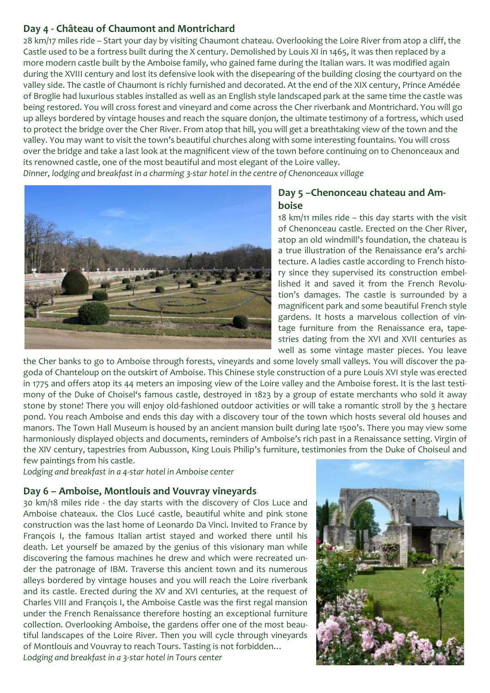#### **Day 4 - Château of Chaumont and Montrichard**

28 km/17 miles ride – Start your day by visiting Chaumont chateau. Overlooking the Loire River from atop a cliff, the Castle used to be a fortress built during the X century. Demolished by Louis XI in 1465, it was then replaced by a more modern castle built by the Amboise family, who gained fame during the Italian wars. It was modified again during the XVIII century and lost its defensive look with the disepearing of the building closing the courtyard on the valley side. The castle of Chaumont is richly furnished and decorated. At the end of the XIX century, Prince Amédée of Broglie had luxurious stables installed as well as an English style landscaped park at the same time the castle was being restored. You will cross forest and vineyard and come across the Cher riverbank and Montrichard. You will go up alleys bordered by vintage houses and reach the square donjon, the ultimate testimony of a fortress, which used to protect the bridge over the Cher River. From atop that hill, you will get a breathtaking view of the town and the valley. You may want to visit the town's beautiful churches along with some interesting fountains. You will cross over the bridge and take a last look at the magnificent view of the town before continuing on to Chenonceaux and its renowned castle, one of the most beautiful and most elegant of the Loire valley.

*Dinner, lodging and breakfast in a charming 3-star hotel in the centre of Chenonceaux village*



#### **Day 5 –Chenonceau chateau and Amboise**

18 km/11 miles ride – this day starts with the visit of Chenonceau castle. Erected on the Cher River, atop an old windmill's foundation, the chateau is a true illustration of the Renaissance era's architecture. A ladies castle according to French history since they supervised its construction embellished it and saved it from the French Revolution's damages. The castle is surrounded by a magnificent park and some beautiful French style gardens. It hosts a marvelous collection of vintage furniture from the Renaissance era, tapestries dating from the XVI and XVII centuries as well as some vintage master pieces. You leave

the Cher banks to go to Amboise through forests, vineyards and some lovely small valleys. You will discover the pagoda of Chanteloup on the outskirt of Amboise. This Chinese style construction of a pure Louis XVI style was erected in 1775 and offers atop its 44 meters an imposing view of the Loire valley and the Amboise forest. It is the last testimony of the Duke of Choisel's famous castle, destroyed in 1823 by a group of estate merchants who sold it away stone by stone! There you will enjoy old-fashioned outdoor activities or will take a romantic stroll by the 3 hectare pond. You reach Amboise and ends this day with a discovery tour of the town which hosts several old houses and manors. The Town Hall Museum is housed by an ancient mansion built during late 1500's. There you may view some harmoniously displayed objects and documents, reminders of Amboise's rich past in a Renaissance setting. Virgin of the XIV century, tapestries from Aubusson, King Louis Philip's furniture, testimonies from the Duke of Choiseul and few paintings from his castle.

*Lodging and breakfast in a 4-star hotel in Amboise center*

### **Day 6 – Amboise, Montlouis and Vouvray vineyards**

30 km/18 miles ride - the day starts with the discovery of Clos Luce and Amboise chateaux. the Clos Lucé castle, beautiful white and pink stone construction was the last home of Leonardo Da Vinci. Invited to France by François I, the famous Italian artist stayed and worked there until his death. Let yourself be amazed by the genius of this visionary man while discovering the famous machines he drew and which were recreated under the patronage of IBM. Traverse this ancient town and its numerous alleys bordered by vintage houses and you will reach the Loire riverbank and its castle. Erected during the XV and XVI centuries, at the request of Charles VIII and François I, the Amboise Castle was the first regal mansion under the French Renaissance therefore hosting an exceptional furniture collection. Overlooking Amboise, the gardens offer one of the most beautiful landscapes of the Loire River. Then you will cycle through vineyards of Montlouis and Vouvray to reach Tours. Tasting is not forbidden… *Lodging and breakfast in a 3-star hotel in Tours center*

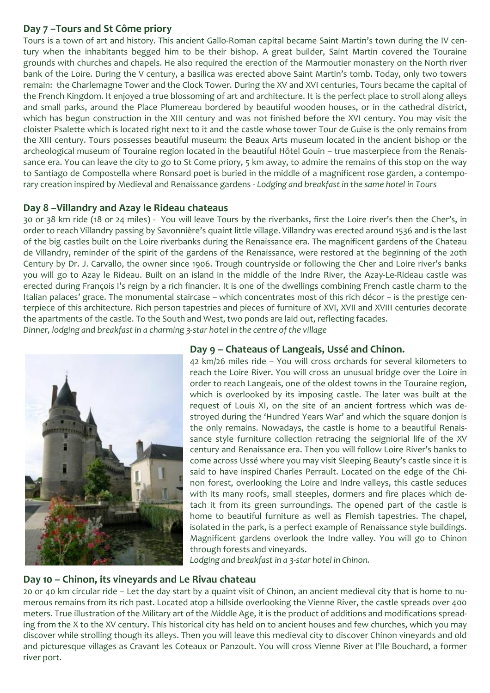#### **Day 7 –Tours and St Côme priory**

Tours is a town of art and history. This ancient Gallo-Roman capital became Saint Martin's town during the IV century when the inhabitants begged him to be their bishop. A great builder, Saint Martin covered the Touraine grounds with churches and chapels. He also required the erection of the Marmoutier monastery on the North river bank of the Loire. During the V century, a basilica was erected above Saint Martin's tomb. Today, only two towers remain: the Charlemagne Tower and the Clock Tower. During the XV and XVI centuries, Tours became the capital of the French Kingdom. It enjoyed a true blossoming of art and architecture. It is the perfect place to stroll along alleys and small parks, around the Place Plumereau bordered by beautiful wooden houses, or in the cathedral district, which has begun construction in the XIII century and was not finished before the XVI century. You may visit the cloister Psalette which is located right next to it and the castle whose tower Tour de Guise is the only remains from the XIII century. Tours possesses beautiful museum: the Beaux Arts museum located in the ancient bishop or the archeological museum of Touraine region located in the beautiful Hôtel Gouin – true masterpiece from the Renaissance era. You can leave the city to go to St Come priory, 5 km away, to admire the remains of this stop on the way to Santiago de Compostella where Ronsard poet is buried in the middle of a magnificent rose garden, a contemporary creation inspired by Medieval and Renaissance gardens - *Lodging and breakfast in the same hotel in Tours* 

#### **Day 8 –Villandry and Azay le Rideau chateaus**

30 or 38 km ride (18 or 24 miles) - You will leave Tours by the riverbanks, first the Loire river's then the Cher's, in order to reach Villandry passing by Savonnière's quaint little village. Villandry was erected around 1536 and is the last of the big castles built on the Loire riverbanks during the Renaissance era. The magnificent gardens of the Chateau de Villandry, reminder of the spirit of the gardens of the Renaissance, were restored at the beginning of the 20th Century by Dr. J. Carvallo, the owner since 1906. Trough countryside or following the Cher and Loire river's banks you will go to Azay le Rideau. Built on an island in the middle of the Indre River, the Azay-Le-Rideau castle was erected during François I's reign by a rich financier. It is one of the dwellings combining French castle charm to the Italian palaces' grace. The monumental staircase – which concentrates most of this rich décor – is the prestige centerpiece of this architecture. Rich person tapestries and pieces of furniture of XVI, XVII and XVIII centuries decorate the apartments of the castle. To the South and West, two ponds are laid out, reflecting facades. *Dinner, lodging and breakfast in a charming 3-star hotel in the centre of the village*



#### **Day 9 – Chateaus of Langeais, Ussé and Chinon.**

42 km/26 miles ride – You will cross orchards for several kilometers to reach the Loire River. You will cross an unusual bridge over the Loire in order to reach Langeais, one of the oldest towns in the Touraine region, which is overlooked by its imposing castle. The later was built at the request of Louis XI, on the site of an ancient fortress which was destroyed during the 'Hundred Years War' and which the square donjon is the only remains. Nowadays, the castle is home to a beautiful Renaissance style furniture collection retracing the seigniorial life of the XV century and Renaissance era. Then you will follow Loire River's banks to come across Ussé where you may visit Sleeping Beauty's castle since it is said to have inspired Charles Perrault. Located on the edge of the Chinon forest, overlooking the Loire and Indre valleys, this castle seduces with its many roofs, small steeples, dormers and fire places which detach it from its green surroundings. The opened part of the castle is home to beautiful furniture as well as Flemish tapestries. The chapel, isolated in the park, is a perfect example of Renaissance style buildings. Magnificent gardens overlook the Indre valley. You will go to Chinon through forests and vineyards.

*Lodging and breakfast in a 3-star hotel in Chinon.*

#### **Day 10 – Chinon, its vineyards and Le Rivau chateau**

20 or 40 km circular ride – Let the day start by a quaint visit of Chinon, an ancient medieval city that is home to numerous remains from its rich past. Located atop a hillside overlooking the Vienne River, the castle spreads over 400 meters. True illustration of the Military art of the Middle Age, it is the product of additions and modifications spreading from the X to the XV century. This historical city has held on to ancient houses and few churches, which you may discover while strolling though its alleys. Then you will leave this medieval city to discover Chinon vineyards and old and picturesque villages as Cravant les Coteaux or Panzoult. You will cross Vienne River at l'Ile Bouchard, a former river port.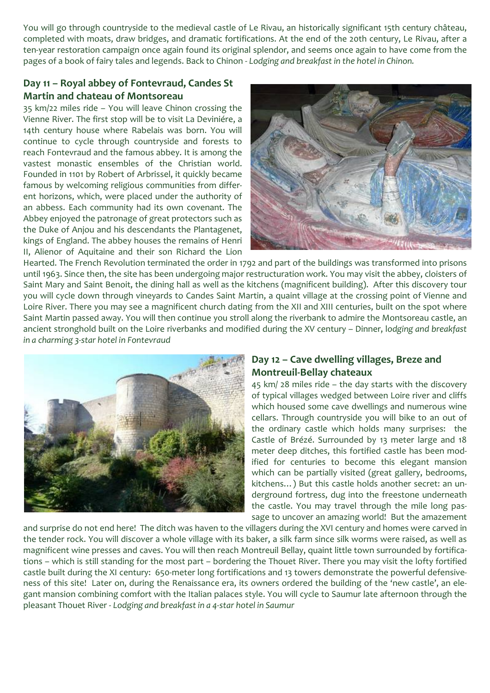You will go through countryside to the medieval castle of Le Rivau, an historically significant 15th century château, completed with moats, draw bridges, and dramatic fortifications. At the end of the 20th century, Le Rivau, after a ten-year restoration campaign once again found its original splendor, and seems once again to have come from the pages of a book of fairy tales and legends. Back to Chinon - *Lodging and breakfast in the hotel in Chinon.*

#### **Day 11 – Royal abbey of Fontevraud, Candes St Martin and chateau of Montsoreau**

35 km/22 miles ride – You will leave Chinon crossing the Vienne River. The first stop will be to visit La Deviniére, a 14th century house where Rabelais was born. You will continue to cycle through countryside and forests to reach Fontevraud and the famous abbey. It is among the vastest monastic ensembles of the Christian world. Founded in 1101 by Robert of Arbrissel, it quickly became famous by welcoming religious communities from different horizons, which, were placed under the authority of an abbess. Each community had its own covenant. The Abbey enjoyed the patronage of great protectors such as the Duke of Anjou and his descendants the Plantagenet, kings of England. The abbey houses the remains of Henri II, Alienor of Aquitaine and their son Richard the Lion



Hearted. The French Revolution terminated the order in 1792 and part of the buildings was transformed into prisons until 1963. Since then, the site has been undergoing major restructuration work. You may visit the abbey, cloisters of Saint Mary and Saint Benoit, the dining hall as well as the kitchens (magnificent building). After this discovery tour you will cycle down through vineyards to Candes Saint Martin, a quaint village at the crossing point of Vienne and Loire River. There you may see a magnificent church dating from the XII and XIII centuries, built on the spot where Saint Martin passed away. You will then continue you stroll along the riverbank to admire the Montsoreau castle, an ancient stronghold built on the Loire riverbanks and modified during the XV century – Dinner, l*odging and breakfast in a charming 3-star hotel in Fontevraud* 



#### **Day 12 – Cave dwelling villages, Breze and Montreuil-Bellay chateaux**

45 km/ 28 miles ride – the day starts with the discovery of typical villages wedged between Loire river and cliffs which housed some cave dwellings and numerous wine cellars. Through countryside you will bike to an out of the ordinary castle which holds many surprises: the Castle of Brézé. Surrounded by 13 meter large and 18 meter deep ditches, this fortified castle has been modified for centuries to become this elegant mansion which can be partially visited (great gallery, bedrooms, kitchens…) But this castle holds another secret: an underground fortress, dug into the freestone underneath the castle. You may travel through the mile long passage to uncover an amazing world! But the amazement

and surprise do not end here! The ditch was haven to the villagers during the XVI century and homes were carved in the tender rock. You will discover a whole village with its baker, a silk farm since silk worms were raised, as well as magnificent wine presses and caves. You will then reach Montreuil Bellay, quaint little town surrounded by fortifications – which is still standing for the most part – bordering the Thouet River. There you may visit the lofty fortified castle built during the XI century: 650-meter long fortifications and 13 towers demonstrate the powerful defensiveness of this site! Later on, during the Renaissance era, its owners ordered the building of the 'new castle', an elegant mansion combining comfort with the Italian palaces style. You will cycle to Saumur late afternoon through the pleasant Thouet River - *Lodging and breakfast in a 4-star hotel in Saumur*